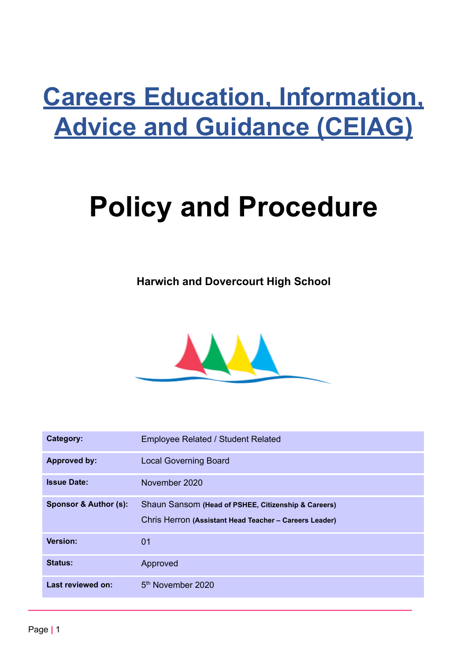## **Careers Education, Information, Advice and Guidance (CEIAG)**

# **Policy and Procedure**

**Harwich and Dovercourt High School**



| Category:                        | <b>Employee Related / Student Related</b>                                                                     |  |
|----------------------------------|---------------------------------------------------------------------------------------------------------------|--|
| <b>Approved by:</b>              | <b>Local Governing Board</b>                                                                                  |  |
| <b>Issue Date:</b>               | November 2020                                                                                                 |  |
| <b>Sponsor &amp; Author (s):</b> | Shaun Sansom (Head of PSHEE, Citizenship & Careers)<br>Chris Herron (Assistant Head Teacher - Careers Leader) |  |
| <b>Version:</b>                  | 01                                                                                                            |  |
| Status:                          | Approved                                                                                                      |  |
| <b>Last reviewed on:</b>         | 5 <sup>th</sup> November 2020                                                                                 |  |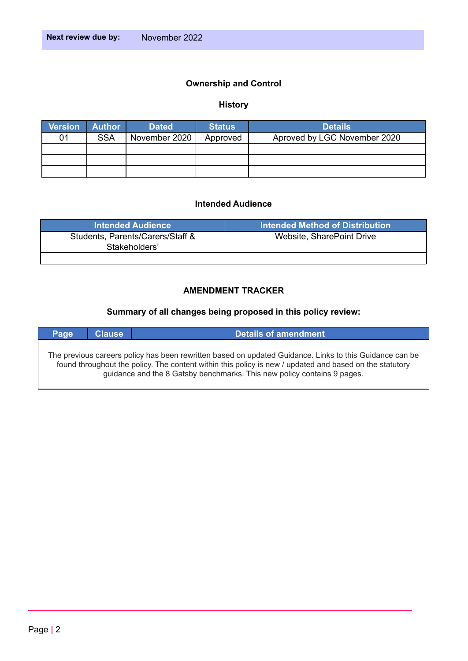## **Ownership and Control**

### **History**

| <b>Version</b> | <b>Author</b> | <b>Dated</b>  | <b>Status</b> | <b>Details</b>               |
|----------------|---------------|---------------|---------------|------------------------------|
| 01             | <b>SSA</b>    | November 2020 | Approved      | Aproved by LGC November 2020 |
|                |               |               |               |                              |
|                |               |               |               |                              |
|                |               |               |               |                              |

#### **Intended Audience**

| <b>Intended Audience</b>                          | Intended Method of Distribution |
|---------------------------------------------------|---------------------------------|
| Students, Parents/Carers/Staff &<br>Stakeholders' | Website, SharePoint Drive       |
|                                                   |                                 |

#### **AMENDMENT TRACKER**

## **Summary of all changes being proposed in this policy review:**

| Page | <b>Clause</b> | <b>Details of amendment</b>                                                                                                                                                                                                                                                                   |
|------|---------------|-----------------------------------------------------------------------------------------------------------------------------------------------------------------------------------------------------------------------------------------------------------------------------------------------|
|      |               | The previous careers policy has been rewritten based on updated Guidance. Links to this Guidance can be<br>found throughout the policy. The content within this policy is new / updated and based on the statutory<br>guidance and the 8 Gatsby benchmarks. This new policy contains 9 pages. |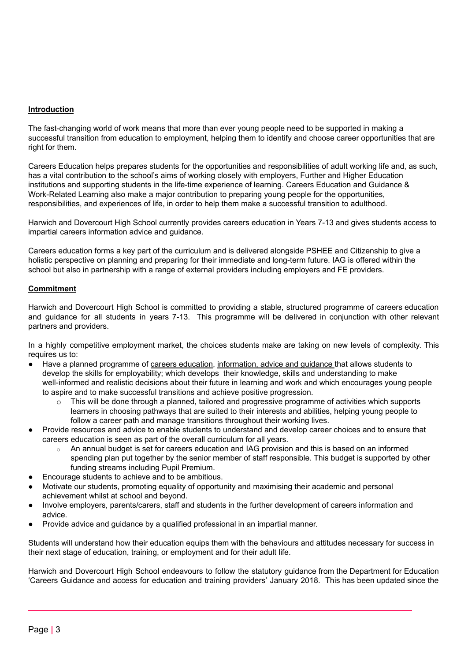#### **Introduction**

The fast-changing world of work means that more than ever young people need to be supported in making a successful transition from education to employment, helping them to identify and choose career opportunities that are right for them.

Careers Education helps prepares students for the opportunities and responsibilities of adult working life and, as such, has a vital contribution to the school's aims of working closely with employers, Further and Higher Education institutions and supporting students in the life-time experience of learning. Careers Education and Guidance & Work-Related Learning also make a major contribution to preparing young people for the opportunities, responsibilities, and experiences of life, in order to help them make a successful transition to adulthood.

Harwich and Dovercourt High School currently provides careers education in Years 7-13 and gives students access to impartial careers information advice and guidance.

Careers education forms a key part of the curriculum and is delivered alongside PSHEE and Citizenship to give a holistic perspective on planning and preparing for their immediate and long-term future. IAG is offered within the school but also in partnership with a range of external providers including employers and FE providers.

#### **Commitment**

Harwich and Dovercourt High School is committed to providing a stable, structured programme of careers education and guidance for all students in years 7-13. This programme will be delivered in conjunction with other relevant partners and providers.

In a highly competitive employment market, the choices students make are taking on new levels of complexity. This requires us to:

- Have a planned programme of careers education, information, advice and guidance that allows students to develop the skills for employability; which develops their knowledge, skills and understanding to make well-informed and realistic decisions about their future in learning and work and which encourages young people to aspire and to make successful transitions and achieve positive progression.
	- $\circ$  This will be done through a planned, tailored and progressive programme of activities which supports learners in choosing pathways that are suited to their interests and abilities, helping young people to follow a career path and manage transitions throughout their working lives.
- Provide resources and advice to enable students to understand and develop career choices and to ensure that careers education is seen as part of the overall curriculum for all years.
	- $\circ$  An annual budget is set for careers education and IAG provision and this is based on an informed spending plan put together by the senior member of staff responsible. This budget is supported by other funding streams including Pupil Premium.
- Encourage students to achieve and to be ambitious.
- Motivate our students, promoting equality of opportunity and maximising their academic and personal achievement whilst at school and beyond.
- Involve employers, parents/carers, staff and students in the further development of careers information and advice.
- Provide advice and quidance by a qualified professional in an impartial manner.

Students will understand how their education equips them with the behaviours and attitudes necessary for success in their next stage of education, training, or employment and for their adult life.

Harwich and Dovercourt High School endeavours to follow the statutory guidance from the Department for Education 'Careers Guidance and access for education and training providers' January 2018. This has been updated since the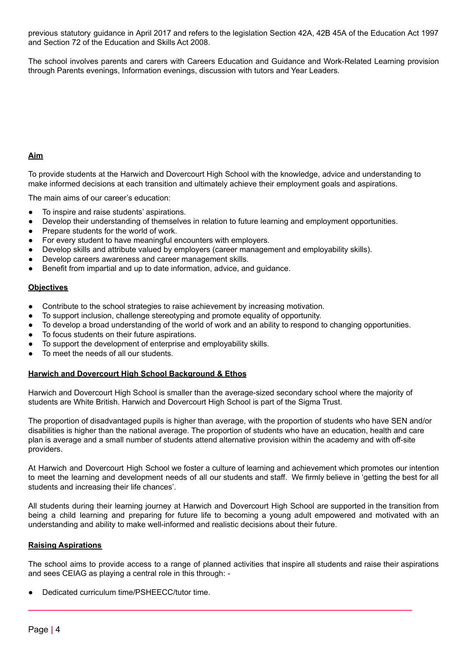previous statutory guidance in April 2017 and refers to the legislation Section 42A, 42B 45A of the Education Act 1997 and Section 72 of the Education and Skills Act 2008.

The school involves parents and carers with Careers Education and Guidance and Work-Related Learning provision through Parents evenings, Information evenings, discussion with tutors and Year Leaders.

#### **Aim**

To provide students at the Harwich and Dovercourt High School with the knowledge, advice and understanding to make informed decisions at each transition and ultimately achieve their employment goals and aspirations.

The main aims of our career's education:

- To inspire and raise students' aspirations.
- Develop their understanding of themselves in relation to future learning and employment opportunities.
- Prepare students for the world of work.
- For every student to have meaningful encounters with employers.
- Develop skills and attribute valued by employers (career management and employability skills).
- Develop careers awareness and career management skills.
- Benefit from impartial and up to date information, advice, and quidance.

#### **Objectives**

- Contribute to the school strategies to raise achievement by increasing motivation.
- To support inclusion, challenge stereotyping and promote equality of opportunity.
- To develop a broad understanding of the world of work and an ability to respond to changing opportunities.
- To focus students on their future aspirations.
- To support the development of enterprise and employability skills.
- To meet the needs of all our students.

#### **Harwich and Dovercourt High School Background & Ethos**

Harwich and Dovercourt High School is smaller than the average-sized secondary school where the majority of students are White British. Harwich and Dovercourt High School is part of the Sigma Trust.

The proportion of disadvantaged pupils is higher than average, with the proportion of students who have SEN and/or disabilities is higher than the national average. The proportion of students who have an education, health and care plan is average and a small number of students attend alternative provision within the academy and with off-site providers.

At Harwich and Dovercourt High School we foster a culture of learning and achievement which promotes our intention to meet the learning and development needs of all our students and staff. We firmly believe in 'getting the best for all students and increasing their life chances'.

All students during their learning journey at Harwich and Dovercourt High School are supported in the transition from being a child learning and preparing for future life to becoming a young adult empowered and motivated with an understanding and ability to make well-informed and realistic decisions about their future.

#### **Raising Aspirations**

The school aims to provide access to a range of planned activities that inspire all students and raise their aspirations and sees CEIAG as playing a central role in this through: -

Dedicated curriculum time/PSHEECC/tutor time.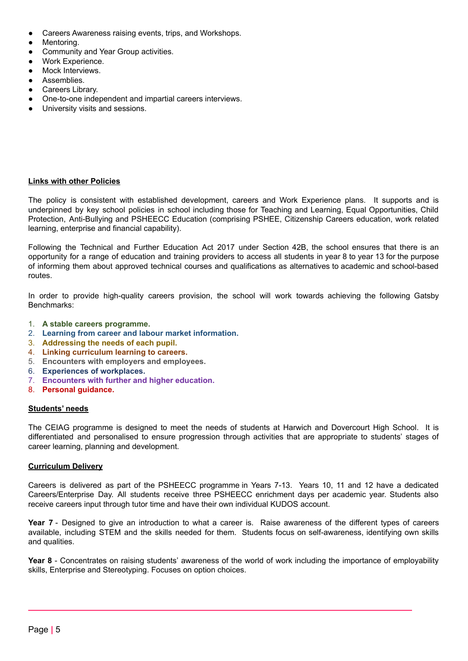- Careers Awareness raising events, trips, and Workshops.
- Mentoring.
- Community and Year Group activities.
- Work Experience.
- Mock Interviews.
- Assemblies.
- Careers Library.
- One-to-one independent and impartial careers interviews.
- University visits and sessions.

#### **Links with other Policies**

The policy is consistent with established development, careers and Work Experience plans. It supports and is underpinned by key school policies in school including those for Teaching and Learning, Equal Opportunities, Child Protection, Anti-Bullying and PSHEECC Education (comprising PSHEE, Citizenship Careers education, work related learning, enterprise and financial capability).

Following the Technical and Further Education Act 2017 under Section 42B, the school ensures that there is an opportunity for a range of education and training providers to access all students in year 8 to year 13 for the purpose of informing them about approved technical courses and qualifications as alternatives to academic and school-based routes.

In order to provide high-quality careers provision, the school will work towards achieving the following Gatsby Benchmarks:

- 1. **A stable careers programme.**
- 2. **Learning from career and labour market information.**
- 3. **Addressing the needs of each pupil.**
- 4. **Linking curriculum learning to careers.**
- 5. **Encounters with employers and employees.**
- 6. **Experiences of workplaces.**
- 7. **Encounters with further and higher education.**
- 8. **Personal guidance.**

#### **Students' needs**

The CEIAG programme is designed to meet the needs of students at Harwich and Dovercourt High School. It is differentiated and personalised to ensure progression through activities that are appropriate to students' stages of career learning, planning and development.

#### **Curriculum Delivery**

Careers is delivered as part of the PSHEECC programme in Years 7-13. Years 10, 11 and 12 have a dedicated Careers/Enterprise Day. All students receive three PSHEECC enrichment days per academic year. Students also receive careers input through tutor time and have their own individual KUDOS account.

**Year 7** - Designed to give an introduction to what a career is. Raise awareness of the different types of careers available, including STEM and the skills needed for them. Students focus on self-awareness, identifying own skills and qualities.

**Year 8** - Concentrates on raising students' awareness of the world of work including the importance of employability skills, Enterprise and Stereotyping. Focuses on option choices.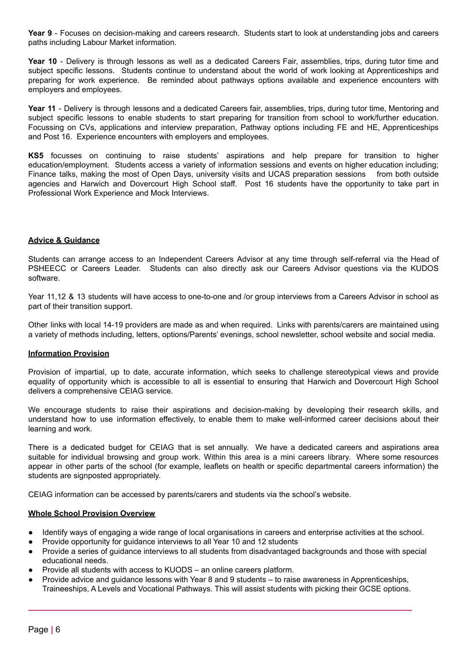**Year 9** - Focuses on decision-making and careers research. Students start to look at understanding jobs and careers paths including Labour Market information.

**Year 10** - Delivery is through lessons as well as a dedicated Careers Fair, assemblies, trips, during tutor time and subject specific lessons. Students continue to understand about the world of work looking at Apprenticeships and preparing for work experience. Be reminded about pathways options available and experience encounters with employers and employees.

**Year 11** - Delivery is through lessons and a dedicated Careers fair, assemblies, trips, during tutor time, Mentoring and subject specific lessons to enable students to start preparing for transition from school to work/further education. Focussing on CVs, applications and interview preparation, Pathway options including FE and HE, Apprenticeships and Post 16. Experience encounters with employers and employees.

**KS5** focusses on continuing to raise students' aspirations and help prepare for transition to higher education/employment. Students access a variety of information sessions and events on higher education including; Finance talks, making the most of Open Days, university visits and UCAS preparation sessions from both outside agencies and Harwich and Dovercourt High School staff. Post 16 students have the opportunity to take part in Professional Work Experience and Mock Interviews.

#### **Advice & Guidance**

Students can arrange access to an Independent Careers Advisor at any time through self-referral via the Head of PSHEECC or Careers Leader. Students can also directly ask our Careers Advisor questions via the KUDOS software.

Year 11,12 & 13 students will have access to one-to-one and /or group interviews from a Careers Advisor in school as part of their transition support.

Other links with local 14-19 providers are made as and when required. Links with parents/carers are maintained using a variety of methods including, letters, options/Parents' evenings, school newsletter, school website and social media.

#### **Information Provision**

Provision of impartial, up to date, accurate information, which seeks to challenge stereotypical views and provide equality of opportunity which is accessible to all is essential to ensuring that Harwich and Dovercourt High School delivers a comprehensive CEIAG service.

We encourage students to raise their aspirations and decision-making by developing their research skills, and understand how to use information effectively, to enable them to make well-informed career decisions about their learning and work.

There is a dedicated budget for CEIAG that is set annually. We have a dedicated careers and aspirations area suitable for individual browsing and group work. Within this area is a mini careers library. Where some resources appear in other parts of the school (for example, leaflets on health or specific departmental careers information) the students are signposted appropriately.

CEIAG information can be accessed by parents/carers and students via the school's website.

#### **Whole School Provision Overview**

- Identify ways of engaging a wide range of local organisations in careers and enterprise activities at the school.
- Provide opportunity for guidance interviews to all Year 10 and 12 students
- Provide a series of guidance interviews to all students from disadvantaged backgrounds and those with special educational needs.
- Provide all students with access to KUODS an online careers platform.
- Provide advice and quidance lessons with Year 8 and 9 students to raise awareness in Apprenticeships, Traineeships, A Levels and Vocational Pathways. This will assist students with picking their GCSE options.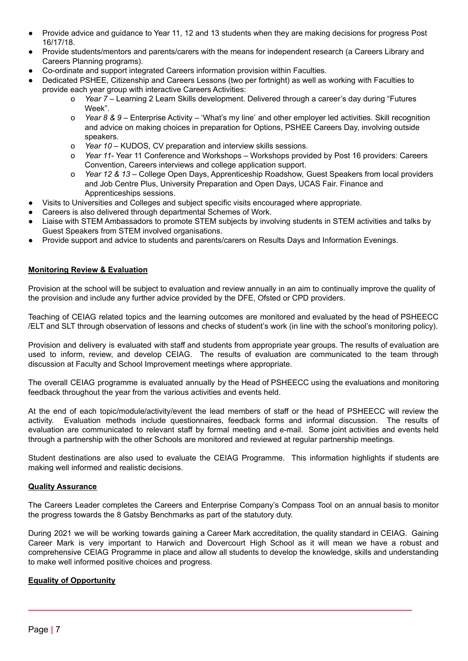- Provide advice and guidance to Year 11, 12 and 13 students when they are making decisions for progress Post 16/17/18.
- Provide students/mentors and parents/carers with the means for independent research (a Careers Library and Careers Planning programs).
- Co-ordinate and support integrated Careers information provision within Faculties.
- Dedicated PSHEE, Citizenship and Careers Lessons (two per fortnight) as well as working with Faculties to provide each year group with interactive Careers Activities:
	- o *Year 7* Learning 2 Learn Skills development. Delivered through a career's day during "Futures Week".
	- o *Year 8 & 9* Enterprise Activity 'What's my line' and other employer led activities. Skill recognition and advice on making choices in preparation for Options, PSHEE Careers Day, involving outside speakers.
	- o *Year 10* KUDOS, CV preparation and interview skills sessions.
	- o *Year 11-* Year 11 Conference and Workshops Workshops provided by Post 16 providers: Careers Convention, Careers interviews and college application support.
	- o *Year 12 & 13 –* College Open Days, Apprenticeship Roadshow, Guest Speakers from local providers and Job Centre Plus, University Preparation and Open Days, UCAS Fair. Finance and Apprenticeships sessions.
- Visits to Universities and Colleges and subject specific visits encouraged where appropriate.
- Careers is also delivered through departmental Schemes of Work.
- Liaise with STEM Ambassadors to promote STEM subjects by involving students in STEM activities and talks by Guest Speakers from STEM involved organisations.
- Provide support and advice to students and parents/carers on Results Days and Information Evenings.

#### **Monitoring Review & Evaluation**

Provision at the school will be subject to evaluation and review annually in an aim to continually improve the quality of the provision and include any further advice provided by the DFE, Ofsted or CPD providers.

Teaching of CEIAG related topics and the learning outcomes are monitored and evaluated by the head of PSHEECC /ELT and SLT through observation of lessons and checks of student's work (in line with the school's monitoring policy).

Provision and delivery is evaluated with staff and students from appropriate year groups. The results of evaluation are used to inform, review, and develop CEIAG. The results of evaluation are communicated to the team through discussion at Faculty and School Improvement meetings where appropriate.

The overall CEIAG programme is evaluated annually by the Head of PSHEECC using the evaluations and monitoring feedback throughout the year from the various activities and events held.

At the end of each topic/module/activity/event the lead members of staff or the head of PSHEECC will review the activity. Evaluation methods include questionnaires, feedback forms and informal discussion. The results of evaluation are communicated to relevant staff by formal meeting and e-mail. Some joint activities and events held through a partnership with the other Schools are monitored and reviewed at regular partnership meetings.

Student destinations are also used to evaluate the CEIAG Programme. This information highlights if students are making well informed and realistic decisions.

#### **Quality Assurance**

The Careers Leader completes the Careers and Enterprise Company's Compass Tool on an annual basis to monitor the progress towards the 8 Gatsby Benchmarks as part of the statutory duty.

During 2021 we will be working towards gaining a Career Mark accreditation, the quality standard in CEIAG. Gaining Career Mark is very important to Harwich and Dovercourt High School as it will mean we have a robust and comprehensive CEIAG Programme in place and allow all students to develop the knowledge, skills and understanding to make well informed positive choices and progress.

#### **Equality of Opportunity**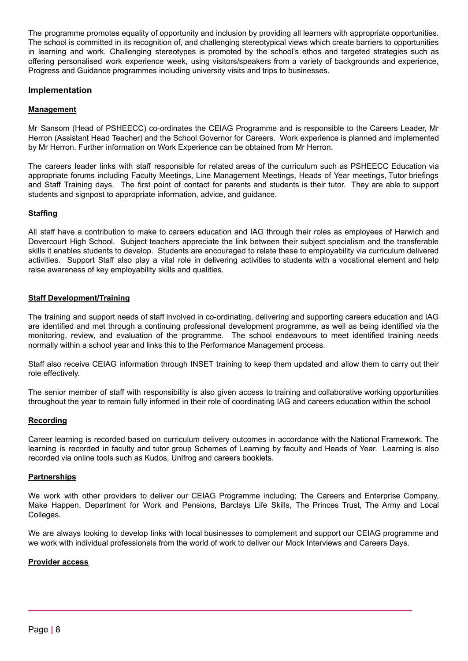The programme promotes equality of opportunity and inclusion by providing all learners with appropriate opportunities. The school is committed in its recognition of, and challenging stereotypical views which create barriers to opportunities in learning and work. Challenging stereotypes is promoted by the school's ethos and targeted strategies such as offering personalised work experience week, using visitors/speakers from a variety of backgrounds and experience, Progress and Guidance programmes including university visits and trips to businesses.

#### **Implementation**

#### **Management**

Mr Sansom (Head of PSHEECC) co-ordinates the CEIAG Programme and is responsible to the Careers Leader, Mr Herron (Assistant Head Teacher) and the School Governor for Careers. Work experience is planned and implemented by Mr Herron. Further information on Work Experience can be obtained from Mr Herron.

The careers leader links with staff responsible for related areas of the curriculum such as PSHEECC Education via appropriate forums including Faculty Meetings, Line Management Meetings, Heads of Year meetings, Tutor briefings and Staff Training days. The first point of contact for parents and students is their tutor. They are able to support students and signpost to appropriate information, advice, and guidance.

#### **Staffing**

All staff have a contribution to make to careers education and IAG through their roles as employees of Harwich and Dovercourt High School. Subject teachers appreciate the link between their subject specialism and the transferable skills it enables students to develop. Students are encouraged to relate these to employability via curriculum delivered activities. Support Staff also play a vital role in delivering activities to students with a vocational element and help raise awareness of key employability skills and qualities.

#### **Staff Development/Training**

The training and support needs of staff involved in co-ordinating, delivering and supporting careers education and IAG are identified and met through a continuing professional development programme, as well as being identified via the monitoring, review, and evaluation of the programme. The school endeavours to meet identified training needs normally within a school year and links this to the Performance Management process.

Staff also receive CEIAG information through INSET training to keep them updated and allow them to carry out their role effectively.

The senior member of staff with responsibility is also given access to training and collaborative working opportunities throughout the year to remain fully informed in their role of coordinating IAG and careers education within the school

#### **Recording**

Career learning is recorded based on curriculum delivery outcomes in accordance with the National Framework. The learning is recorded in faculty and tutor group Schemes of Learning by faculty and Heads of Year. Learning is also recorded via online tools such as Kudos, Unifrog and careers booklets.

#### **Partnerships**

We work with other providers to deliver our CEIAG Programme including; The Careers and Enterprise Company, Make Happen, Department for Work and Pensions, Barclays Life Skills, The Princes Trust, The Army and Local Colleges.

We are always looking to develop links with local businesses to complement and support our CEIAG programme and we work with individual professionals from the world of work to deliver our Mock Interviews and Careers Days.

#### **Provider access**